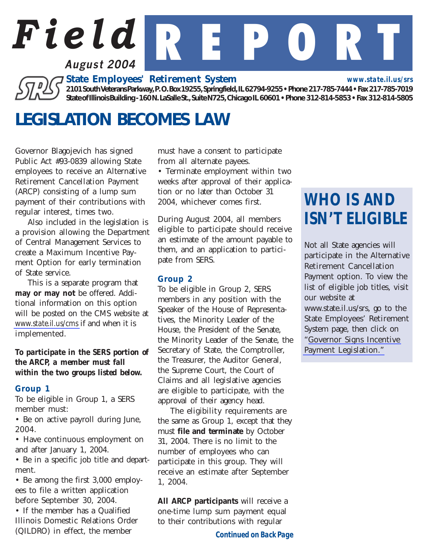

*State Employees' Retirement System*

*2101 South Veterans Parkway, P. O. Box 19255, Springfield, IL 62794-9255 • Phone 217-785-7444 • Fax 217-785-7019 State of Illinois Building - 160 N. LaSalle St., Suite N725, Chicago IL 60601 • Phone 312-814-5853 • Fax 312-814-5805*

## *LEGISLATION BECOMES LAW*

Governor Blagojevich has signed Public Act #93-0839 allowing State employees to receive an Alternative Retirement Cancellation Payment (ARCP) consisting of a lump sum payment of their contributions with regular interest, times two.

Also included in the legislation is a provision allowing the Department of Central Management Services to create a Maximum Incentive Payment Option for early termination of State service.

This is a separate program that *may or may not* be offered. Additional information on this option will be posted on the CMS website at *[www.state.il.us/cms](http://www.state.il.us/cms)* if and when it is implemented.

#### *To participate in the SERS portion of the ARCP, a member must fall within the two groups listed below.*

### *Group 1*

To be eligible in Group 1, a SERS member must:

• Be on active payroll during June, 2004.

• Have continuous employment on and after January 1, 2004.

• Be in a specific job title and department.

• Be among the first 3,000 employees to file a written application before September 30, 2004.

• If the member has a Qualified Illinois Domestic Relations Order (QILDRO) in effect, the member

must have a consent to participate from all alternate payees.

• Terminate employment within two weeks after approval of their application or no later than October 31 2004, whichever comes first.

During August 2004, all members eligible to participate should receive an estimate of the amount payable to them, and an application to participate from SERS.

#### *Group 2*

To be eligible in Group 2, SERS members in any position with the Speaker of the House of Representatives, the Minority Leader of the House, the President of the Senate, the Minority Leader of the Senate, the Secretary of State, the Comptroller, the Treasurer, the Auditor General, the Supreme Court, the Court of Claims and all legislative agencies are eligible to participate, with the approval of their agency head.

The eligibility requirements are the same as Group 1, except that they must *file and terminate* by October 31, 2004. There is no limit to the number of employees who can participate in this group. They will receive an estimate after September 1, 2004.

*All ARCP participants* will receive a one-time lump sum payment equal to their contributions with regular

#### *Continued on Back Page*

# *WHO IS AND ISN'T ELIGIBLE*

*www.state.il.us/srs*

Not all State agencies will participate in the Alternative Retirement Cancellation Payment option. To view the list of eligible job titles, visit our website at www.state.il.us/srs, go to the State Employees' Retirement System page, then click on "[Governor Signs Incentive](http://www.state.il.us/SRS/SERS/WNlegis_sers.htm) [Payment Legislation."](http://www.state.il.us/SRS/SERS/WNlegis_sers.htm)